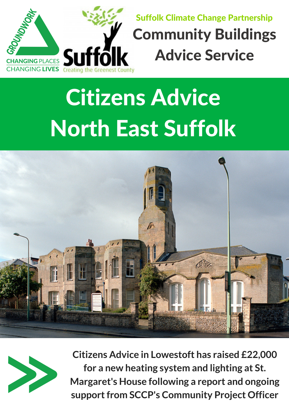

## Suffolk Climate Change Partnership Community Buildings Advice Service

**Citizens Advice in Lowestoft has raised £22,000 for a new heating system and lighting at St. Margaret's House following a report and ongoing support from SCCP's Community Project Officer** 

## Citizens Advice North East Suffolk